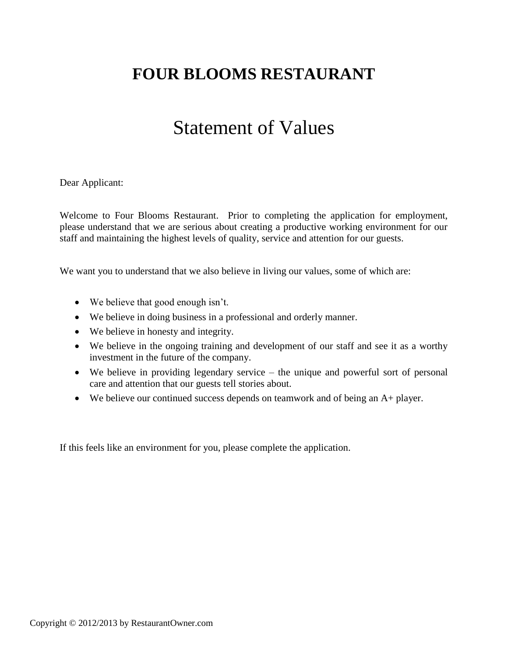## **FOUR BLOOMS RESTAURANT**

# Statement of Values

Dear Applicant:

Welcome to Four Blooms Restaurant. Prior to completing the application for employment, please understand that we are serious about creating a productive working environment for our staff and maintaining the highest levels of quality, service and attention for our guests.

We want you to understand that we also believe in living our values, some of which are:

- We believe that good enough isn't.
- We believe in doing business in a professional and orderly manner.
- We believe in honesty and integrity.
- We believe in the ongoing training and development of our staff and see it as a worthy investment in the future of the company.
- We believe in providing legendary service the unique and powerful sort of personal care and attention that our guests tell stories about.
- We believe our continued success depends on teamwork and of being an A+ player.

If this feels like an environment for you, please complete the application.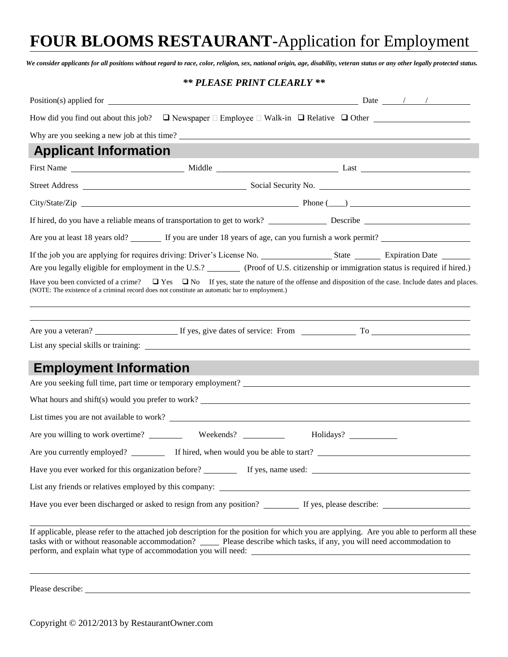## **FOUR BLOOMS RESTAURANT**-Application for Employment

*We consider applicants for all positions without regard to race, color, religion, sex, national origin, age, disability, veteran status or any other legally protected status.*

### *\*\* PLEASE PRINT CLEARLY \*\**

| How did you find out about this job? $\Box$ Newspaper $\Box$ Employee $\Box$ Walk-in $\Box$ Relative $\Box$ Other                                                                                                                                                                                                                                                                         |                                             |  |  |
|-------------------------------------------------------------------------------------------------------------------------------------------------------------------------------------------------------------------------------------------------------------------------------------------------------------------------------------------------------------------------------------------|---------------------------------------------|--|--|
|                                                                                                                                                                                                                                                                                                                                                                                           | Why are you seeking a new job at this time? |  |  |
| <b>Applicant Information</b>                                                                                                                                                                                                                                                                                                                                                              |                                             |  |  |
|                                                                                                                                                                                                                                                                                                                                                                                           |                                             |  |  |
|                                                                                                                                                                                                                                                                                                                                                                                           |                                             |  |  |
|                                                                                                                                                                                                                                                                                                                                                                                           |                                             |  |  |
|                                                                                                                                                                                                                                                                                                                                                                                           |                                             |  |  |
| Are you at least 18 years old? If you are under 18 years of age, can you furnish a work permit?                                                                                                                                                                                                                                                                                           |                                             |  |  |
| Are you legally eligible for employment in the U.S.? (Proof of U.S. citizenship or immigration status is required if hired.)<br>Have you been convicted of a crime? $\Box$ Yes $\Box$ No If yes, state the nature of the offense and disposition of the case. Include dates and places.<br>(NOTE: The existence of a criminal record does not constitute an automatic bar to employment.) |                                             |  |  |
| <b>Employment Information</b>                                                                                                                                                                                                                                                                                                                                                             |                                             |  |  |
|                                                                                                                                                                                                                                                                                                                                                                                           |                                             |  |  |
| What hours and shift(s) would you prefer to work?                                                                                                                                                                                                                                                                                                                                         |                                             |  |  |
|                                                                                                                                                                                                                                                                                                                                                                                           |                                             |  |  |
|                                                                                                                                                                                                                                                                                                                                                                                           |                                             |  |  |
| Are you currently employed? If hired, when would you be able to start?                                                                                                                                                                                                                                                                                                                    |                                             |  |  |
|                                                                                                                                                                                                                                                                                                                                                                                           |                                             |  |  |
|                                                                                                                                                                                                                                                                                                                                                                                           |                                             |  |  |
|                                                                                                                                                                                                                                                                                                                                                                                           |                                             |  |  |
| If applicable, please refer to the attached job description for the position for which you are applying. Are you able to perform all these<br>tasks with or without reasonable accommodation? _____ Please describe which tasks, if any, you will need accommodation to                                                                                                                   |                                             |  |  |
| Please describe:                                                                                                                                                                                                                                                                                                                                                                          |                                             |  |  |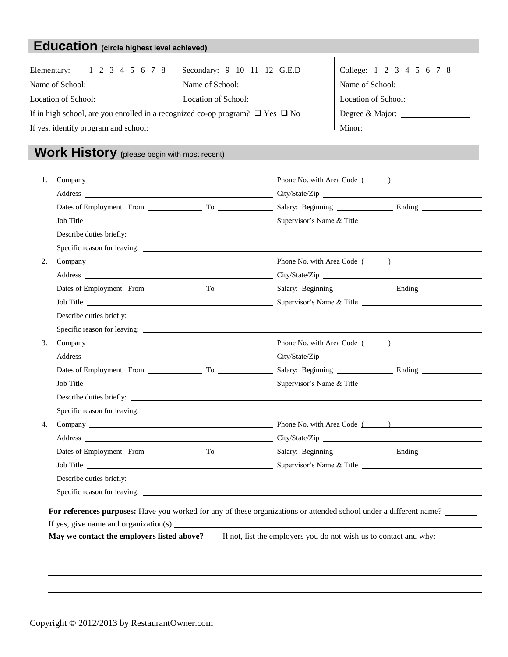### **Education (circle highest level achieved)**

| Elementary: 1 2 3 4 5 6 7 8 Secondary: 9 10 11 12 G.E.D                                 |                     | College: 1 2 3 4 5 6 7 8 |
|-----------------------------------------------------------------------------------------|---------------------|--------------------------|
|                                                                                         | Name of School:     |                          |
|                                                                                         | Location of School: | Location of School:      |
| If in high school, are you enrolled in a recognized co-op program? $\Box$ Yes $\Box$ No |                     |                          |
| If yes, identify program and school:                                                    |                     |                          |

## **Work History (**please begin with most recent)

| 1.                                                  | Company Phone No. with Area Code ( )                                                                               |
|-----------------------------------------------------|--------------------------------------------------------------------------------------------------------------------|
|                                                     |                                                                                                                    |
|                                                     |                                                                                                                    |
|                                                     | Job Title <b>Example 2018</b> Supervisor's Name & Title <b>Example 2018</b> Supervisor's Name & Title              |
|                                                     |                                                                                                                    |
|                                                     |                                                                                                                    |
| 2.                                                  | Company Phone No. with Area Code ( )                                                                               |
|                                                     |                                                                                                                    |
|                                                     |                                                                                                                    |
|                                                     |                                                                                                                    |
|                                                     |                                                                                                                    |
|                                                     |                                                                                                                    |
| 3.                                                  |                                                                                                                    |
|                                                     |                                                                                                                    |
|                                                     |                                                                                                                    |
|                                                     |                                                                                                                    |
|                                                     |                                                                                                                    |
|                                                     |                                                                                                                    |
| 4.                                                  |                                                                                                                    |
|                                                     |                                                                                                                    |
|                                                     |                                                                                                                    |
|                                                     |                                                                                                                    |
|                                                     | Describe duties briefly:                                                                                           |
|                                                     |                                                                                                                    |
|                                                     | For references purposes: Have you worked for any of these organizations or attended school under a different name? |
| If yes, give name and organization(s) $\frac{1}{2}$ |                                                                                                                    |
|                                                     | May we contact the employers listed above?____ If not, list the employers you do not wish us to contact and why:   |
|                                                     |                                                                                                                    |
|                                                     |                                                                                                                    |
|                                                     |                                                                                                                    |